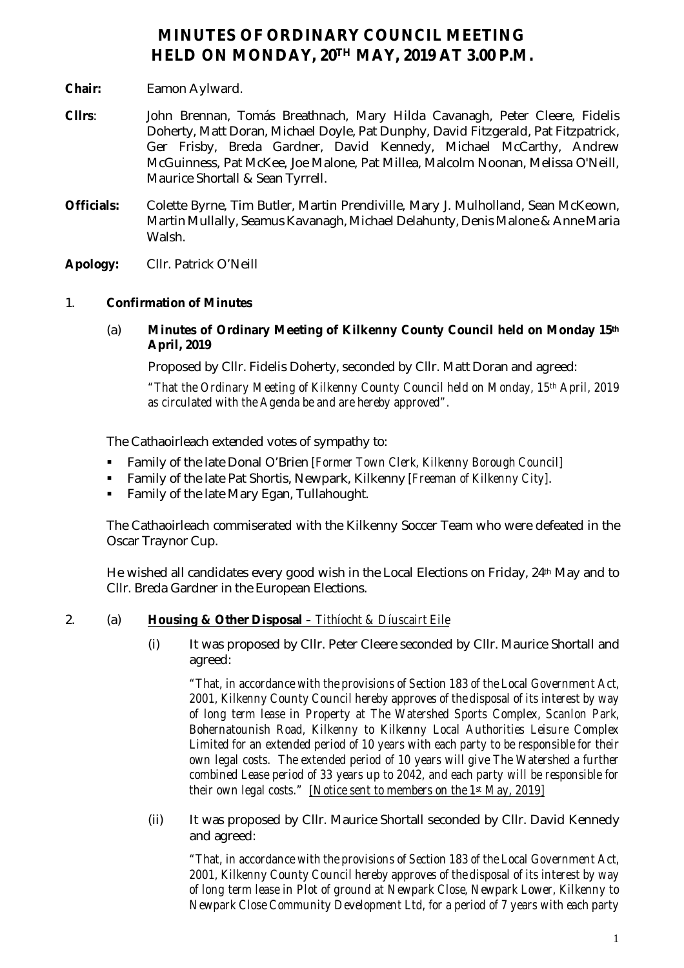# **MINUTES OF ORDINARY COUNCIL MEETING HELD ON MONDAY, 20TH MAY, 2019 AT 3.00 P.M.**

- **Chair:** Eamon Aylward.
- **Cllrs**: John Brennan, Tomás Breathnach, Mary Hilda Cavanagh, Peter Cleere, Fidelis Doherty, Matt Doran, Michael Doyle, Pat Dunphy, David Fitzgerald, Pat Fitzpatrick, Ger Frisby, Breda Gardner, David Kennedy, Michael McCarthy, Andrew McGuinness, Pat McKee, Joe Malone, Pat Millea, Malcolm Noonan, Melissa O'Neill, Maurice Shortall & Sean Tyrrell.
- **Officials:** Colette Byrne, Tim Butler, Martin Prendiville, Mary J. Mulholland, Sean McKeown, Martin Mullally, Seamus Kavanagh, Michael Delahunty, Denis Malone & Anne Maria Walsh.
- **Apology:** Cllr. Patrick O'Neill

# 1. **Confirmation of Minutes**

(a) **Minutes of Ordinary Meeting of Kilkenny County Council held on Monday 15th April, 2019**

Proposed by Cllr. Fidelis Doherty, seconded by Cllr. Matt Doran and agreed:

*"That the Ordinary Meeting of Kilkenny County Council held on Monday, 15th April, 2019 as circulated with the Agenda be and are hereby approved".*

The Cathaoirleach extended votes of sympathy to:

- Family of the late Donal O'Brien *[Former Town Clerk, Kilkenny Borough Council]*
- Family of the late Pat Shortis, Newpark, Kilkenny *[Freeman of Kilkenny City]*.
- Family of the late Mary Egan, Tullahought.

The Cathaoirleach commiserated with the Kilkenny Soccer Team who were defeated in the Oscar Traynor Cup.

He wished all candidates every good wish in the Local Elections on Friday, 24th May and to Cllr. Breda Gardner in the European Elections.

2. (a) **Housing & Other Disposal** *– Tithíocht & Díuscairt Eile*

(i) It was proposed by Cllr. Peter Cleere seconded by Cllr. Maurice Shortall and agreed:

*"That, in accordance with the provisions of Section 183 of the Local Government Act, 2001, Kilkenny County Council hereby approves of the disposal of its interest by way of long term lease in Property at The Watershed Sports Complex, Scanlon Park, Bohernatounish Road, Kilkenny to Kilkenny Local Authorities Leisure Complex Limited for an extended period of 10 years with each party to be responsible for their own legal costs. The extended period of 10 years will give The Watershed a further combined Lease period of 33 years up to 2042, and each party will be responsible for their own legal costs." [Notice sent to members on the 1st May, 2019]*

(ii) It was proposed by Cllr. Maurice Shortall seconded by Cllr. David Kennedy and agreed:

*"That, in accordance with the provisions of Section 183 of the Local Government Act, 2001, Kilkenny County Council hereby approves of the disposal of its interest by way of long term lease in Plot of ground at Newpark Close, Newpark Lower, Kilkenny to Newpark Close Community Development Ltd, for a period of 7 years with each party*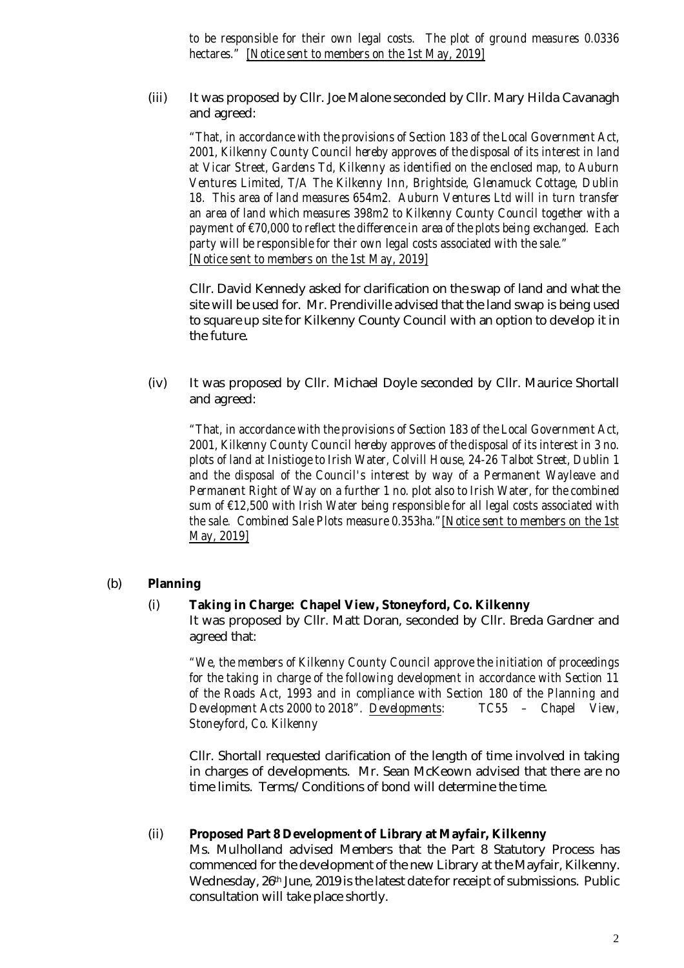*to be responsible for their own legal costs. The plot of ground measures 0.0336 hectares." [Notice sent to members on the 1st May, 2019]*

(iii) It was proposed by Cllr. Joe Malone seconded by Cllr. Mary Hilda Cavanagh and agreed:

*"That, in accordance with the provisions of Section 183 of the Local Government Act, 2001, Kilkenny County Council hereby approves of the disposal of its interest in land at Vicar Street, Gardens Td, Kilkenny as identified on the enclosed map, to Auburn Ventures Limited, T/A The Kilkenny Inn, Brightside, Glenamuck Cottage, Dublin 18. This area of land measures 654m2. Auburn Ventures Ltd will in turn transfer an area of land which measures 398m2 to Kilkenny County Council together with a payment of €70,000 to reflect the difference in area of the plots being exchanged. Each party will be responsible for their own legal costs associated with the sale." [Notice sent to members on the 1st May, 2019]*

Cllr. David Kennedy asked for clarification on the swap of land and what the site will be used for. Mr. Prendiville advised that the land swap is being used to square up site for Kilkenny County Council with an option to develop it in the future.

(iv) It was proposed by Cllr. Michael Doyle seconded by Cllr. Maurice Shortall and agreed:

*"That, in accordance with the provisions of Section 183 of the Local Government Act, 2001, Kilkenny County Council hereby approves of the disposal of its interest in 3 no. plots of land at Inistioge to Irish Water, Colvill House, 24-26 Talbot Street, Dublin 1 and the disposal of the Council's interest by way of a Permanent Wayleave and Permanent Right of Way on a further 1 no. plot also to Irish Water, for the combined sum of €12,500 with Irish Water being responsible for all legal costs associated with the sale. Combined Sale Plots measure 0.353ha."[Notice sent to members on the 1st May, 2019]*

### (b) **Planning**

#### (i) **Taking in Charge: Chapel View, Stoneyford, Co. Kilkenny**

It was proposed by Cllr. Matt Doran, seconded by Cllr. Breda Gardner and agreed that:

*"We, the members of Kilkenny County Council approve the initiation of proceedings for the taking in charge of the following development in accordance with Section 11 of the Roads Act, 1993 and in compliance with Section 180 of the Planning and Development Acts 2000 to 2018". Developments: TC55 – Chapel View, Stoneyford, Co. Kilkenny*

Cllr. Shortall requested clarification of the length of time involved in taking in charges of developments. Mr. Sean McKeown advised that there are no time limits. Terms/Conditions of bond will determine the time.

#### (ii) **Proposed Part 8 Development of Library at Mayfair, Kilkenny**

Ms. Mulholland advised Members that the Part 8 Statutory Process has commenced for the development of the new Library at the Mayfair, Kilkenny. Wednesday, 26th June, 2019 is the latest date for receipt of submissions. Public consultation will take place shortly.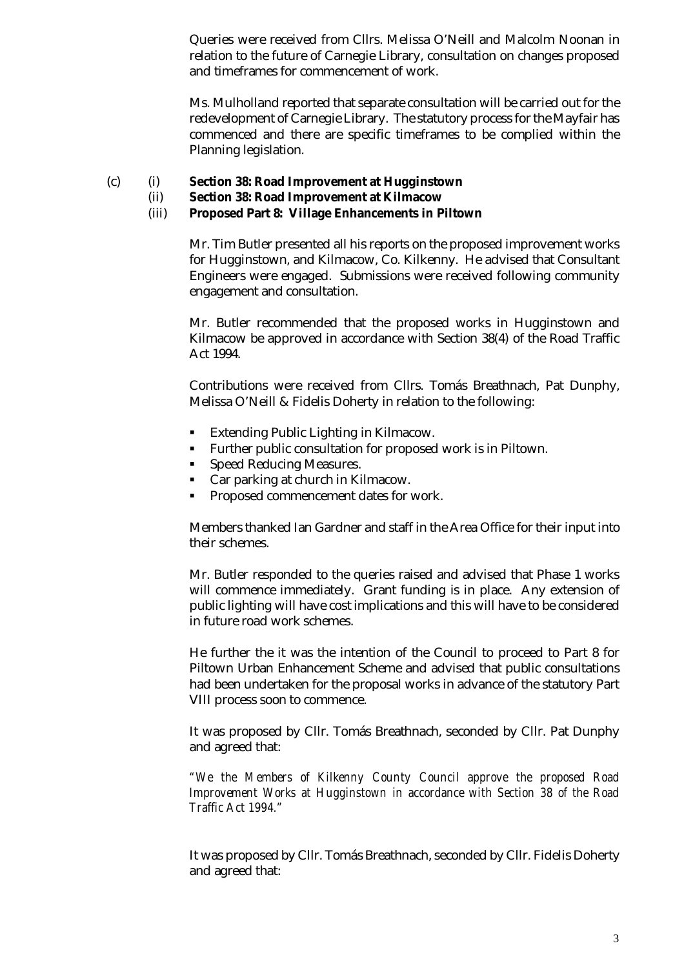Queries were received from Cllrs. Melissa O'Neill and Malcolm Noonan in relation to the future of Carnegie Library, consultation on changes proposed and timeframes for commencement of work.

Ms. Mulholland reported that separate consultation will be carried out for the redevelopment of Carnegie Library. The statutory process for the Mayfair has commenced and there are specific timeframes to be complied within the Planning legislation.

- (c) (i) **Section 38: Road Improvement at Hugginstown**
	- (ii) **Section 38: Road Improvement at Kilmacow**
	- (iii) **Proposed Part 8: Village Enhancements in Piltown**

Mr. Tim Butler presented all his reports on the proposed improvement works for Hugginstown, and Kilmacow, Co. Kilkenny. He advised that Consultant Engineers were engaged. Submissions were received following community engagement and consultation.

Mr. Butler recommended that the proposed works in Hugginstown and Kilmacow be approved in accordance with Section 38(4) of the Road Traffic Act 1994.

Contributions were received from Cllrs. Tomás Breathnach, Pat Dunphy, Melissa O'Neill & Fidelis Doherty in relation to the following:

- Extending Public Lighting in Kilmacow.
- **Further public consultation for proposed work is in Piltown.**
- Speed Reducing Measures.
- Car parking at church in Kilmacow.
- **Proposed commencement dates for work.**

Members thanked Ian Gardner and staff in the Area Office for their input into their schemes.

Mr. Butler responded to the queries raised and advised that Phase 1 works will commence immediately. Grant funding is in place. Any extension of public lighting will have cost implications and this will have to be considered in future road work schemes.

He further the it was the intention of the Council to proceed to Part 8 for Piltown Urban Enhancement Scheme and advised that public consultations had been undertaken for the proposal works in advance of the statutory Part VIII process soon to commence.

It was proposed by Cllr. Tomás Breathnach, seconded by Cllr. Pat Dunphy and agreed that:

*"We the Members of Kilkenny County Council approve the proposed Road Improvement Works at Hugginstown in accordance with Section 38 of the Road Traffic Act 1994."*

It was proposed by Cllr. Tomás Breathnach, seconded by Cllr. Fidelis Doherty and agreed that: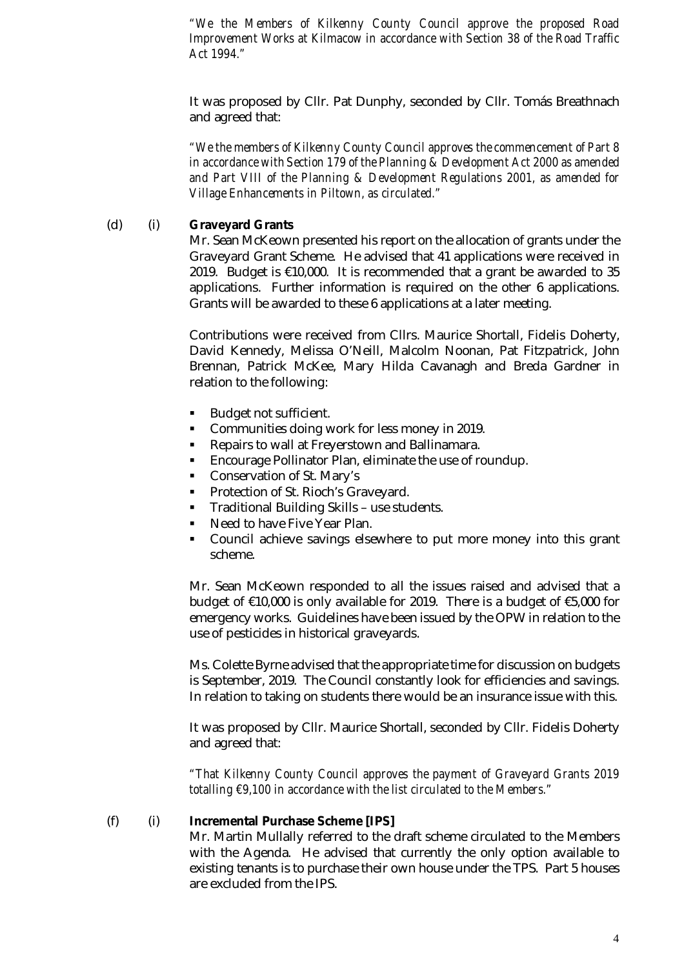*"We the Members of Kilkenny County Council approve the proposed Road Improvement Works at Kilmacow in accordance with Section 38 of the Road Traffic Act 1994."*

It was proposed by Cllr. Pat Dunphy, seconded by Cllr. Tomás Breathnach and agreed that:

*"We the members of Kilkenny County Council approves the commencement of Part 8 in accordance with Section 179 of the Planning & Development Act 2000 as amended and Part VIII of the Planning & Development Regulations 2001, as amended for Village Enhancements in Piltown, as circulated."*

#### (d) (i) **Graveyard Grants**

Mr. Sean McKeown presented his report on the allocation of grants under the Graveyard Grant Scheme. He advised that 41 applications were received in 2019. Budget is €10,000. It is recommended that a grant be awarded to 35 applications. Further information is required on the other 6 applications. Grants will be awarded to these 6 applications at a later meeting.

Contributions were received from Cllrs. Maurice Shortall, Fidelis Doherty, David Kennedy, Melissa O'Neill, Malcolm Noonan, Pat Fitzpatrick, John Brennan, Patrick McKee, Mary Hilda Cavanagh and Breda Gardner in relation to the following:

- Budget not sufficient.
- **Communities doing work for less money in 2019.**
- **Repairs to wall at Freyerstown and Ballinamara.**
- **Encourage Pollinator Plan, eliminate the use of roundup.**
- **Conservation of St. Mary's**
- **Protection of St. Rioch's Graveyard.**
- **Traditional Building Skills use students.**
- Need to have Five Year Plan.
- Council achieve savings elsewhere to put more money into this grant scheme.

Mr. Sean McKeown responded to all the issues raised and advised that a budget of €10,000 is only available for 2019. There is a budget of €5,000 for emergency works. Guidelines have been issued by the OPW in relation to the use of pesticides in historical graveyards.

Ms. Colette Byrne advised that the appropriate time for discussion on budgets is September, 2019. The Council constantly look for efficiencies and savings. In relation to taking on students there would be an insurance issue with this.

It was proposed by Cllr. Maurice Shortall, seconded by Cllr. Fidelis Doherty and agreed that:

*"That Kilkenny County Council approves the payment of Graveyard Grants 2019 totalling €9,100 in accordance with the list circulated to the Members."*

#### (f) (i) **Incremental Purchase Scheme [IPS]**

Mr. Martin Mullally referred to the draft scheme circulated to the Members with the Agenda. He advised that currently the only option available to existing tenants is to purchase their own house under the TPS. Part 5 houses are excluded from the IPS.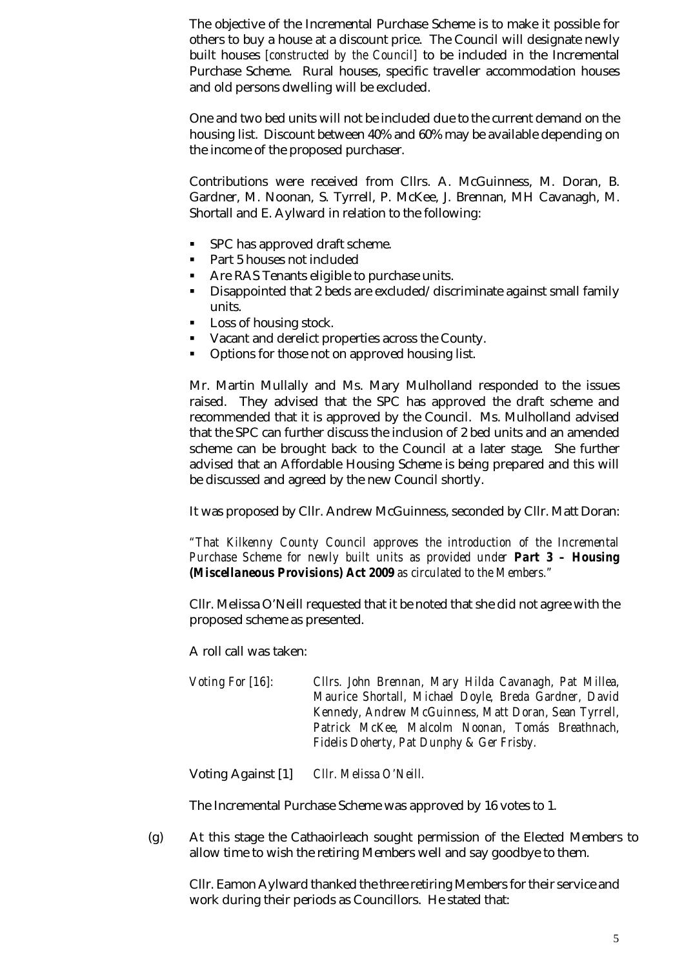The objective of the Incremental Purchase Scheme is to make it possible for others to buy a house at a discount price. The Council will designate newly built houses *[constructed by the Council]* to be included in the Incremental Purchase Scheme. Rural houses, specific traveller accommodation houses and old persons dwelling will be excluded.

One and two bed units will not be included due to the current demand on the housing list. Discount between 40% and 60% may be available depending on the income of the proposed purchaser.

Contributions were received from Cllrs. A. McGuinness, M. Doran, B. Gardner, M. Noonan, S. Tyrrell, P. McKee, J. Brennan, MH Cavanagh, M. Shortall and E. Aylward in relation to the following:

- **SPC has approved draft scheme.**
- Part 5 houses not included
- **Are RAS Tenants eligible to purchase units.**
- Disappointed that 2 beds are excluded/discriminate against small family units.
- Loss of housing stock.
- Vacant and derelict properties across the County.
- Options for those not on approved housing list.

Mr. Martin Mullally and Ms. Mary Mulholland responded to the issues raised. They advised that the SPC has approved the draft scheme and recommended that it is approved by the Council. Ms. Mulholland advised that the SPC can further discuss the inclusion of 2 bed units and an amended scheme can be brought back to the Council at a later stage. She further advised that an Affordable Housing Scheme is being prepared and this will be discussed and agreed by the new Council shortly.

It was proposed by Cllr. Andrew McGuinness, seconded by Cllr. Matt Doran:

*"That Kilkenny County Council approves the introduction of the Incremental Purchase Scheme for newly built units as provided under Part 3 – Housing (Miscellaneous Provisions) Act 2009 as circulated to the Members."*

Cllr. Melissa O'Neill requested that it be noted that she did not agree with the proposed scheme as presented.

A roll call was taken:

*Voting For [16]: Cllrs. John Brennan, Mary Hilda Cavanagh, Pat Millea, Maurice Shortall, Michael Doyle, Breda Gardner, David Kennedy, Andrew McGuinness, Matt Doran, Sean Tyrrell, Patrick McKee, Malcolm Noonan, Tomás Breathnach, Fidelis Doherty, Pat Dunphy & Ger Frisby.*

Voting Against [1] *Cllr. Melissa O'Neill.*

The Incremental Purchase Scheme was approved by 16 votes to 1.

(g) At this stage the Cathaoirleach sought permission of the Elected Members to allow time to wish the retiring Members well and say goodbye to them.

Cllr. Eamon Aylward thanked the three retiring Members for their service and work during their periods as Councillors. He stated that: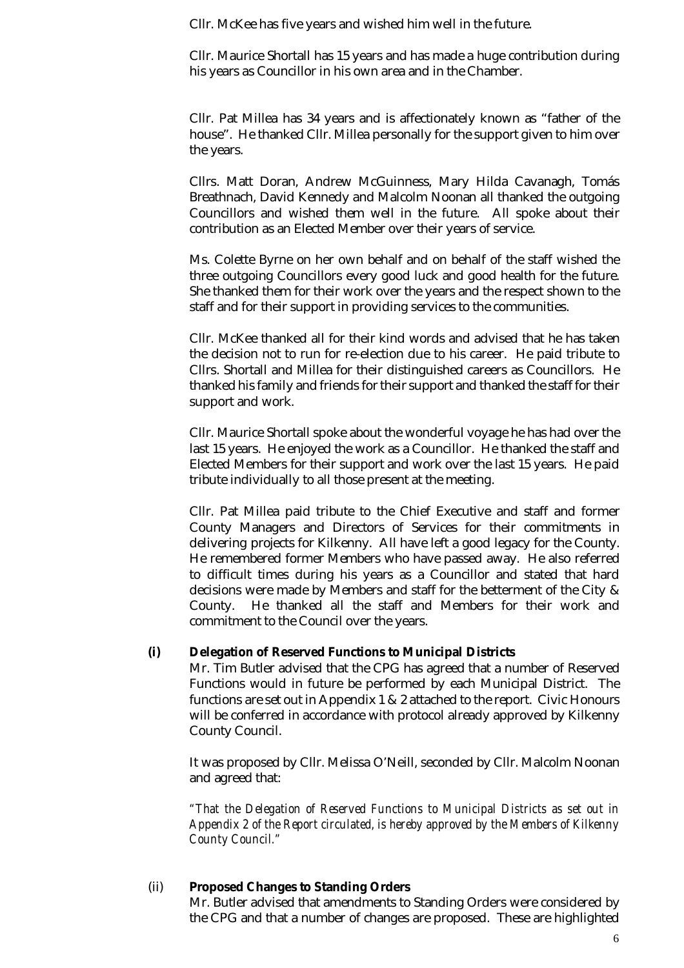Cllr. McKee has five years and wished him well in the future.

Cllr. Maurice Shortall has 15 years and has made a huge contribution during his years as Councillor in his own area and in the Chamber.

Cllr. Pat Millea has 34 years and is affectionately known as "father of the house". He thanked Cllr. Millea personally for the support given to him over the years.

Cllrs. Matt Doran, Andrew McGuinness, Mary Hilda Cavanagh, Tomás Breathnach, David Kennedy and Malcolm Noonan all thanked the outgoing Councillors and wished them well in the future. All spoke about their contribution as an Elected Member over their years of service.

Ms. Colette Byrne on her own behalf and on behalf of the staff wished the three outgoing Councillors every good luck and good health for the future. She thanked them for their work over the years and the respect shown to the staff and for their support in providing services to the communities.

Cllr. McKee thanked all for their kind words and advised that he has taken the decision not to run for re-election due to his career. He paid tribute to Cllrs. Shortall and Millea for their distinguished careers as Councillors. He thanked his family and friends for their support and thanked the staff for their support and work.

Cllr. Maurice Shortall spoke about the wonderful voyage he has had over the last 15 years. He enjoyed the work as a Councillor. He thanked the staff and Elected Members for their support and work over the last 15 years. He paid tribute individually to all those present at the meeting.

Cllr. Pat Millea paid tribute to the Chief Executive and staff and former County Managers and Directors of Services for their commitments in delivering projects for Kilkenny. All have left a good legacy for the County. He remembered former Members who have passed away. He also referred to difficult times during his years as a Councillor and stated that hard decisions were made by Members and staff for the betterment of the City & County. He thanked all the staff and Members for their work and commitment to the Council over the years.

### **(i) Delegation of Reserved Functions to Municipal Districts**

Mr. Tim Butler advised that the CPG has agreed that a number of Reserved Functions would in future be performed by each Municipal District. The functions are set out in Appendix 1 & 2 attached to the report. Civic Honours will be conferred in accordance with protocol already approved by Kilkenny County Council.

It was proposed by Cllr. Melissa O'Neill, seconded by Cllr. Malcolm Noonan and agreed that:

*"That the Delegation of Reserved Functions to Municipal Districts as set out in Appendix 2 of the Report circulated, is hereby approved by the Members of Kilkenny County Council."*

# (ii) **Proposed Changes to Standing Orders**

Mr. Butler advised that amendments to Standing Orders were considered by the CPG and that a number of changes are proposed. These are highlighted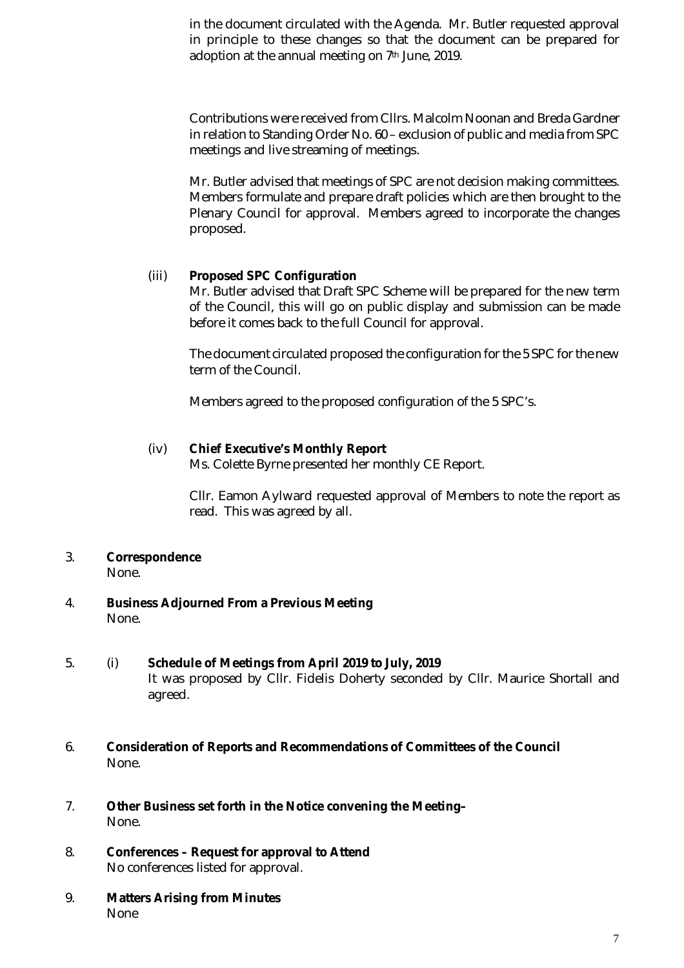in the document circulated with the Agenda. Mr. Butler requested approval in principle to these changes so that the document can be prepared for adoption at the annual meeting on 7<sup>th</sup> June, 2019.

Contributions were received from Cllrs. Malcolm Noonan and Breda Gardner in relation to Standing Order No. 60 – exclusion of public and media from SPC meetings and live streaming of meetings.

Mr. Butler advised that meetings of SPC are not decision making committees. Members formulate and prepare draft policies which are then brought to the Plenary Council for approval. Members agreed to incorporate the changes proposed.

# (iii) **Proposed SPC Configuration**

Mr. Butler advised that Draft SPC Scheme will be prepared for the new term of the Council, this will go on public display and submission can be made before it comes back to the full Council for approval.

The document circulated proposed the configuration for the 5 SPC for the new term of the Council.

Members agreed to the proposed configuration of the 5 SPC's.

# (iv) **Chief Executive's Monthly Report**

Ms. Colette Byrne presented her monthly CE Report.

Cllr. Eamon Aylward requested approval of Members to note the report as read. This was agreed by all.

3. **Correspondence**

None.

- 4. **Business Adjourned From a Previous Meeting** None.
- 5. (i) **Schedule of Meetings from April 2019 to July, 2019** It was proposed by Cllr. Fidelis Doherty seconded by Cllr. Maurice Shortall and agreed.
- 6. **Consideration of Reports and Recommendations of Committees of the Council** None.
- 7. **Other Business set forth in the Notice convening the Meeting–** None.
- 8. **Conferences – Request for approval to Attend** No conferences listed for approval.
- 9. **Matters Arising from Minutes** None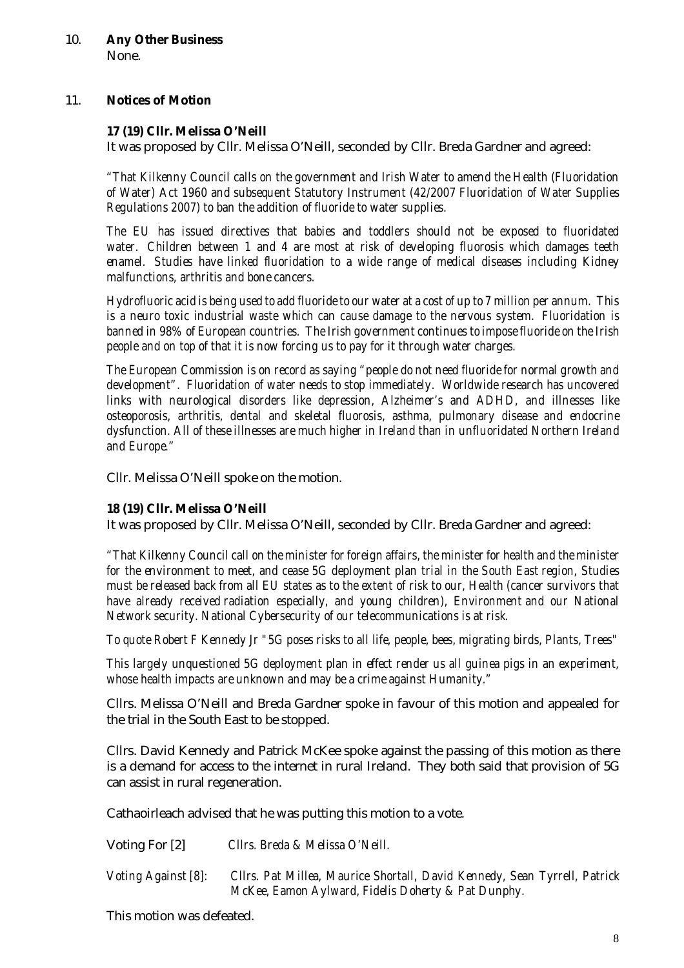# 11. **Notices of Motion**

## **17 (19) Cllr. Melissa O'Neill**

It was proposed by Cllr. Melissa O'Neill, seconded by Cllr. Breda Gardner and agreed:

*"That Kilkenny Council calls on the government and Irish Water to amend the Health (Fluoridation of Water) Act 1960 and subsequent Statutory Instrument (42/2007 Fluoridation of Water Supplies Regulations 2007) to ban the addition of fluoride to water supplies.*

*The EU has issued directives that babies and toddlers should not be exposed to fluoridated water. Children between 1 and 4 are most at risk of developing fluorosis which damages teeth enamel. Studies have linked fluoridation to a wide range of medical diseases including Kidney malfunctions, arthritis and bone cancers.*

*Hydrofluoric acid is being used to add fluoride to our water at a cost of up to 7 million per annum. This is a neuro toxic industrial waste which can cause damage to the nervous system. Fluoridation is banned in 98% of European countries. The Irish government continues to impose fluoride on the Irish people and on top of that it is now forcing us to pay for it through water charges.*

*The European Commission is on record as saying "people do not need fluoride for normal growth and development". Fluoridation of water needs to stop immediately. Worldwide research has uncovered links with neurological disorders like depression, Alzheimer's and ADHD, and illnesses like osteoporosis, arthritis, dental and skeletal fluorosis, asthma, pulmonary disease and endocrine dysfunction. All of these illnesses are much higher in Ireland than in unfluoridated Northern Ireland and Europe."*

Cllr. Melissa O'Neill spoke on the motion.

### **18 (19) Cllr. Melissa O'Neill**

It was proposed by Cllr. Melissa O'Neill, seconded by Cllr. Breda Gardner and agreed:

*"That Kilkenny Council call on the minister for foreign affairs, the minister for health and the minister for the environment to meet, and cease 5G deployment plan trial in the South East region, Studies must be released back from all EU states as to the extent of risk to our, Health (cancer survivors that have already received radiation especially, and young children), Environment and our National Network security. National Cybersecurity of our telecommunications is at risk.*

*To quote Robert F Kennedy Jr "5G poses risks to all life, people, bees, migrating birds, Plants, Trees"*

*This largely unquestioned 5G deployment plan in effect render us all guinea pigs in an experiment, whose health impacts are unknown and may be a crime against Humanity."*

Cllrs. Melissa O'Neill and Breda Gardner spoke in favour of this motion and appealed for the trial in the South East to be stopped.

Cllrs. David Kennedy and Patrick McKee spoke against the passing of this motion as there is a demand for access to the internet in rural Ireland. They both said that provision of 5G can assist in rural regeneration.

Cathaoirleach advised that he was putting this motion to a vote.

Voting For [2] *Cllrs. Breda & Melissa O'Neill.*

*Voting Against [8]: Cllrs. Pat Millea, Maurice Shortall, David Kennedy, Sean Tyrrell, Patrick McKee, Eamon Aylward, Fidelis Doherty & Pat Dunphy.*

This motion was defeated.